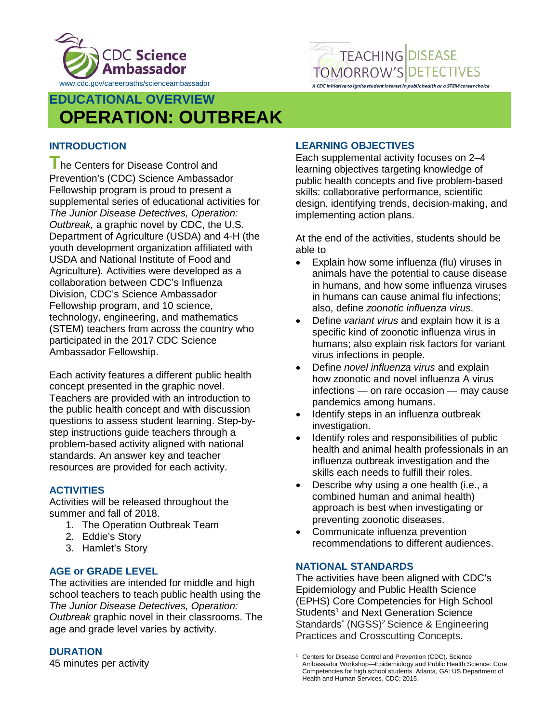



# **EDUCATIONAL OVERVIEW OPERATION: OUTBREAK**

## **INTRODUCTION**

**The Centers for Disease Control and** Prevention's (CDC) Science Ambassador Fellowship program is proud to present a supplemental series of educational activities for *The Junior Disease Detectives, Operation: Outbreak,* a graphic novel by CDC, the U.S. Department of Agriculture (USDA) and 4-H (the youth development organization affiliated with USDA and National Institute of Food and Agriculture)*.* Activities were developed as a collaboration between CDC's Influenza Division, CDC's Science Ambassador Fellowship program, and 10 science, technology, engineering, and mathematics (STEM) teachers from across the country who participated in the 2017 CDC Science Ambassador Fellowship.

Each activity features a different public health concept presented in the graphic novel. Teachers are provided with an introduction to the public health concept and with discussion questions to assess student learning. Step-bystep instructions guide teachers through a problem-based activity aligned with national standards. An answer key and teacher resources are provided for each activity.

### **ACTIVITIES**

Activities will be released throughout the summer and fall of 2018.

- 1. The Operation Outbreak Team
- 2. Eddie's Story
- 3. Hamlet's Story

### **AGE or GRADE LEVEL**

The activities are intended for middle and high school teachers to teach public health using the *The Junior Disease Detectives, Operation: Outbreak* graphic novel in their classrooms. The age and grade level varies by activity.

### **DURATION**

45 minutes per activity

### **LEARNING OBJECTIVES**

Each supplemental activity focuses on 2–4 learning objectives targeting knowledge of public health concepts and five problem-based skills: collaborative performance, scientific design, identifying trends, decision-making, and implementing action plans.

At the end of the activities, students should be able to

- Explain how some influenza (flu) viruses in animals have the potential to cause disease in humans, and how some influenza viruses in humans can cause animal flu infections; also, define *zoonotic influenza virus*.
- Define *variant virus* and explain how it is a specific kind of zoonotic influenza virus in humans; also explain risk factors for variant virus infections in people.
- Define *novel influenza virus* and explain how zoonotic and novel influenza A virus infections — on rare occasion — may cause pandemics among humans.
- Identify steps in an influenza outbreak investigation.
- Identify roles and responsibilities of public health and animal health professionals in an influenza outbreak investigation and the skills each needs to fulfill their roles.
- Describe why using a one health (i.e., a combined human and animal health) approach is best when investigating or preventing zoonotic diseases.
- Communicate influenza prevention recommendations to different audiences.

#### **NATIONAL STANDARDS**

The activities have been aligned with CDC's Epidemiology and Public Health Science (EPHS) Core Competencies for High School Students<sup>1</sup> and Next Generation Science Standards<sup>\*</sup> (NGSS)<sup>2</sup> Science & Engineering Practices and Crosscutting Concepts.

Centers for Disease Control and Prevention (CDC). Science Ambassador Workshop—Epidemiology and Public Health Science: Core Competencies for high school students. Atlanta, GA: US Department of Health and Human Services, CDC; 2015.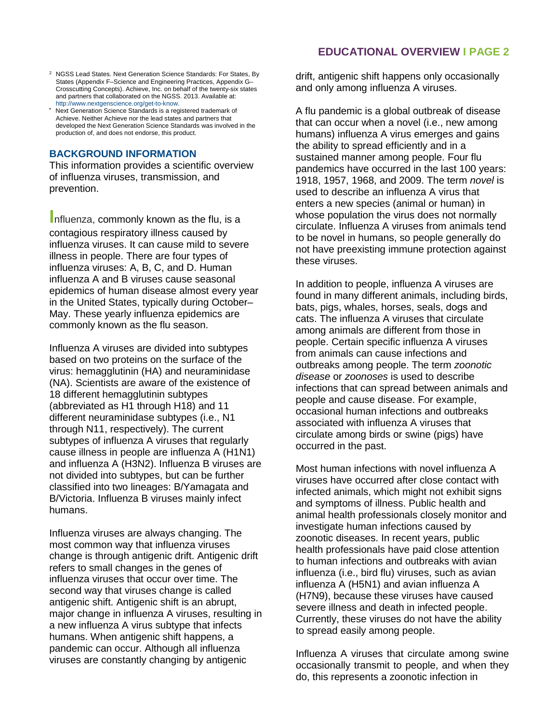- <sup>2</sup> NGSS Lead States. Next Generation Science Standards: For States, By States (Appendix F–Science and Engineering Practices, Appendix G– Crosscutting Concepts). Achieve, Inc. on behalf of the twenty-six states and partners that collaborated on the NGSS. 2013. Available at: [http://www.nextgenscience.org/get-to-know.](http://www.nextgenscience.org/get-to-know)
- Next Generation Science Standards is a registered trademark of Achieve. Neither Achieve nor the lead states and partners that developed the Next Generation Science Standards was involved in the production of, and does not endorse, this product.

#### **BACKGROUND INFORMATION**

This information provides a scientific overview of influenza viruses, transmission, and prevention.

**I**nfluenza, commonly known as the flu, is a contagious respiratory illness caused by influenza viruses. It can cause mild to severe illness in people. There are four types of influenza viruses: A, B, C, and D. Human influenza A and B viruses cause seasonal epidemics of human disease almost every year in the United States, typically during October– May. These yearly influenza epidemics are commonly known as the flu season.

Influenza A viruses are divided into subtypes based on two proteins on the surface of the virus: hemagglutinin (HA) and neuraminidase (NA). Scientists are aware of the existence of 18 different hemagglutinin subtypes (abbreviated as H1 through H18) and 11 different neuraminidase subtypes (i.e., N1 through N11, respectively). The current subtypes of influenza A viruses that regularly cause illness in people are influenza A (H1N1) and influenza A (H3N2). Influenza B viruses are not divided into subtypes, but can be further classified into two lineages: B/Yamagata and B/Victoria. Influenza B viruses mainly infect humans.

Influenza viruses are always changing. The most common way that influenza viruses change is through antigenic drift. Antigenic drift refers to small changes in the genes of influenza viruses that occur over time. The second way that viruses change is called antigenic shift. Antigenic shift is an abrupt, major change in influenza A viruses, resulting in a new influenza A virus subtype that infects humans. When antigenic shift happens, a pandemic can occur. Although all influenza viruses are constantly changing by antigenic

drift, antigenic shift happens only occasionally and only among influenza A viruses.

A flu pandemic is a global outbreak of disease that can occur when a novel (i.e., new among humans) influenza A virus emerges and gains the ability to spread efficiently and in a sustained manner among people. Four flu pandemics have occurred in the last 100 years: 1918, 1957, 1968, and 2009. The term *novel* is used to describe an influenza A virus that enters a new species (animal or human) in whose population the virus does not normally circulate. Influenza A viruses from animals tend to be novel in humans, so people generally do not have preexisting immune protection against these viruses.

In addition to people, influenza A viruses are found in many different animals, including birds, bats, pigs, whales, horses, seals, dogs and cats. The influenza A viruses that circulate among animals are different from those in people. Certain specific influenza A viruses from animals can cause infections and outbreaks among people. The term *zoonotic disease* or *zoonoses* is used to describe infections that can spread between animals and people and cause disease. For example, occasional human infections and outbreaks associated with influenza A viruses that circulate among birds or swine (pigs) have occurred in the past.

Most human infections with novel influenza A viruses have occurred after close contact with infected animals, which might not exhibit signs and symptoms of illness. Public health and animal health professionals closely monitor and investigate human infections caused by zoonotic diseases. In recent years, public health professionals have paid close attention to human infections and outbreaks with avian influenza (i.e., bird flu) viruses, such as avian influenza A (H5N1) and avian influenza A (H7N9), because these viruses have caused severe illness and death in infected people. Currently, these viruses do not have the ability to spread easily among people.

Influenza A viruses that circulate among swine occasionally transmit to people, and when they do, this represents a zoonotic infection in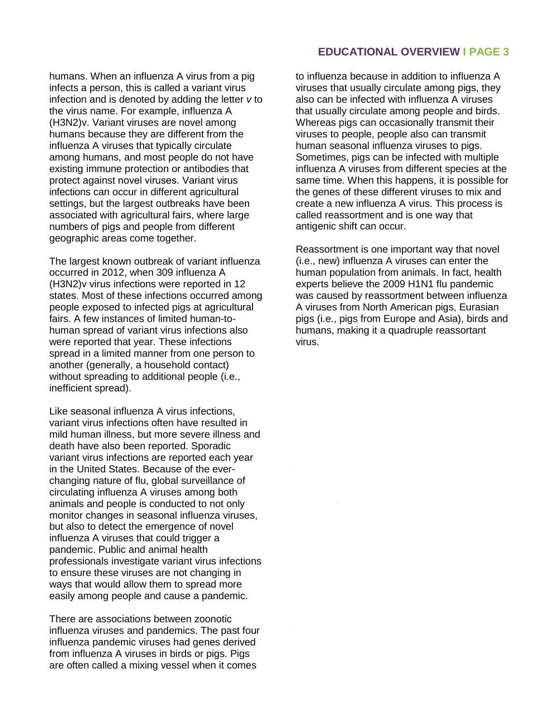humans. When an influenza A virus from a pig infects a person, this is called a variant virus infection and is denoted by adding the letter *v* to the virus name. For example, influenza A (H3N2)v. Variant viruses are novel among humans because they are different from the influenza A viruses that typically circulate among humans, and most people do not have existing immune protection or antibodies that protect against novel viruses. Variant virus infections can occur in different agricultural settings, but the largest outbreaks have been associated with agricultural fairs, where large numbers of pigs and people from different geographic areas come together.

The largest known outbreak of variant influenza occurred in 2012, when 309 influenza A (H3N2)v virus infections were reported in 12 states. Most of these infections occurred among people exposed to infected pigs at agricultural fairs. A few instances of limited human-tohuman spread of variant virus infections also were reported that year. These infections spread in a limited manner from one person to another (generally, a household contact) without spreading to additional people (i.e., inefficient spread).

Like seasonal influenza A virus infections, variant virus infections often have resulted in mild human illness, but more severe illness and death have also been reported. Sporadic variant virus infections are reported each year in the United States. Because of the everchanging nature of flu, global surveillance of circulating influenza A viruses among both animals and people is conducted to not only monitor changes in seasonal influenza viruses, but also to detect the emergence of novel influenza A viruses that could trigger a pandemic. Public and animal health professionals investigate variant virus infections to ensure these viruses are not changing in ways that would allow them to spread more easily among people and cause a pandemic.

There are associations between zoonotic influenza viruses and pandemics. The past four influenza pandemic viruses had genes derived from influenza A viruses in birds or pigs. Pigs are often called a mixing vessel when it comes

### **EDUCATIONAL OVERVIEW I PAGE 3**

to influenza because in addition to influenza A viruses that usually circulate among pigs, they also can be infected with influenza A viruses that usually circulate among people and birds. Whereas pigs can occasionally transmit their viruses to people, people also can transmit human seasonal influenza viruses to pigs. Sometimes, pigs can be infected with multiple influenza A viruses from different species at the same time. When this happens, it is possible for the genes of these different viruses to mix and create a new influenza A virus. This process is called reassortment and is one way that antigenic shift can occur.

Reassortment is one important way that novel (i.e., new) influenza A viruses can enter the human population from animals. In fact, health experts believe the 2009 H1N1 flu pandemic was caused by reassortment between influenza A viruses from North American pigs, Eurasian pigs (i.e., pigs from Europe and Asia), birds and humans, making it a quadruple reassortant virus.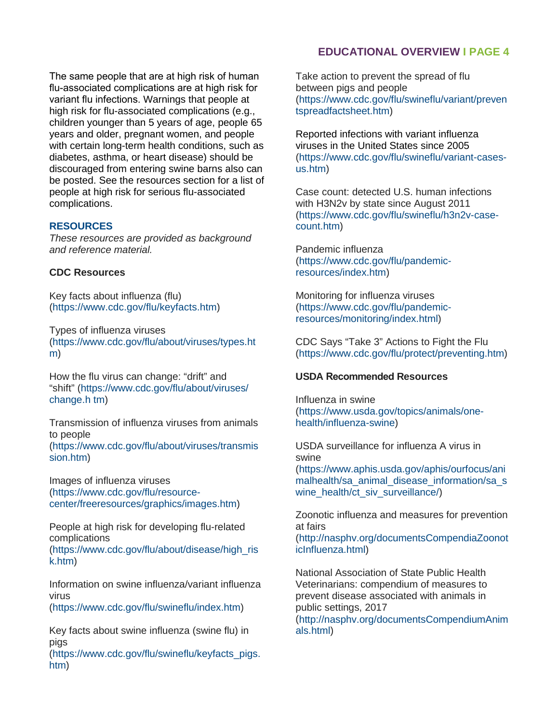The same people that are at high risk of human flu-associated complications are at high risk for variant flu infections. Warnings that people at high risk for flu-associated complications (e.g., children younger than 5 years of age, people 65 years and older, pregnant women, and people with certain long-term health conditions, such as diabetes, asthma, or heart disease) should be discouraged from entering swine barns also can be posted. See the resources section for a list of people at high risk for serious flu-associated complications.

#### **RESOURCES**

*These resources are provided as background and reference material.* 

#### **[CDC Resources](https://www.cdc.gov/flu/keyfacts.htm)**

Key facts about influenza (flu) [\(https://www.cdc.gov/flu/keyfacts.htm\)](https://www.cdc.gov/flu/about/viruses/types.htm) 

[Ty](https://www.cdc.gov/flu/about/viruses/types.htm)pes of influenza viruses (https://www.cdc.gov/flu/about/viruses/types.ht m)

[Ho](https://www.cdc.gov/flu/about/viruses/change.htm)w the flu virus can change: "drift" and "shift" (https://www.cdc.gov/flu/about/viruses/ change.h tm)

[Transmission of influenza](https://www.cdc.gov/flu/about/viruses/transmission.htm) viruses from animals [to people](https://www.cdc.gov/flu/about/viruses/transmission.htm)

(https://www.cdc.gov/flu/about/viruses/transmis [sion.htm\)](https://www.cdc.gov/flu/resource-center/freeresources/graphics/images.htm) 

Images of [influenza viruses](https://www.cdc.gov/flu/resource-center/freeresources/graphics/images.htm)  (https://www.cdc.gov/flu/resourcecenter/freeresources/graphics/images.htm)

People at high risk [for developing flu-related](https://www.cdc.gov/flu/about/disease/high_risk.htm)  [compl](https://www.cdc.gov/flu/about/disease/high_risk.htm)ications

(https://www.cdc.gov/flu/about/disease/high\_ris k.htm)

Information on [swine influenza/variant](https://www.cdc.gov/flu/swineflu/index.htm) influenza virus

(https://www.cdc.gov/flu/swineflu/index.htm)

Key facts about [swine influenza \(swine](https://www.cdc.gov/flu/swineflu/keyfacts_pigs.htm) flu) in [pigs](https://www.cdc.gov/flu/swineflu/keyfacts_pigs.htm)

(https://www.cdc.gov/flu/swineflu/keyfacts\_pigs. htm)

### **EDUCATIONAL OVERVIEW I PAGE 4**

Take action to prevent the spread of flu between pigs and people [\(https://www.cdc.gov/flu/swineflu/variant/preven](https://www.cdc.gov/flu/swineflu/variant/preventspreadfactsheet.htm) [tspreadfactsheet.htm\)](https://www.cdc.gov/flu/swineflu/variant/preventspreadfactsheet.htm)

Reported infections with variant influenza viruses in the United States since 2005 [\(https://www.cdc.gov/flu/swineflu/variant-cases](https://www.cdc.gov/flu/swineflu/variant-cases-us.htm)[us.htm\)](https://www.cdc.gov/flu/swineflu/variant-cases-us.htm)

Case count: detected U.S. human infections with H3N2v by state since August 2011 [\(https://www.cdc.gov/flu/swineflu/h3n2v-case](https://www.cdc.gov/flu/swineflu/h3n2v-case-count.htm)[count.htm\)](https://www.cdc.gov/flu/swineflu/h3n2v-case-count.htm)

Pandemic influenza [\(https://www.cdc.gov/flu/pandemic](https://www.cdc.gov/flu/pandemic-resources/index.htm)[resources/index.htm\)](https://www.cdc.gov/flu/pandemic-resources/index.htm)

Monitoring for influenza viruses [\(https://www.cdc.gov/flu/pandemic](https://www.cdc.gov/flu/pandemic-resources/monitoring/index.html)[resources/monitoring/index.html\)](https://www.cdc.gov/flu/pandemic-resources/monitoring/index.html)

CDC Says "Take 3" Actions to Fight the Flu (https://www.cdc.gov/flu/protect/preventing.htm)

#### **USDA Recommended Resources**

Influenza in swine [\(https://www.usda.gov/topics/animals/one](https://www.usda.gov/topics/animals/one-health/influenza-swine)[health/influenza-swine\)](https://www.usda.gov/topics/animals/one-health/influenza-swine)

USDA surveillance for influenza A virus in swine [\(https://www.aphis.usda.gov/aphis/ourfocus/ani](https://www.aphis.usda.gov/aphis/ourfocus/animalhealth/sa_animal_disease_information/sa_swine_health/ct_siv_surveillance/)

[malhealth/sa\\_animal\\_disease\\_information/sa\\_s](https://www.aphis.usda.gov/aphis/ourfocus/animalhealth/sa_animal_disease_information/sa_swine_health/ct_siv_surveillance/) [wine\\_health/ct\\_siv\\_surveillance/\)](https://www.aphis.usda.gov/aphis/ourfocus/animalhealth/sa_animal_disease_information/sa_swine_health/ct_siv_surveillance/)

Zoonotic influenza and measures for prevention at fairs

[\(http://nasphv.org/documentsCompendiaZoonot](http://nasphv.org/documentsCompendiaZoonoticInfluenza.html) [icInfluenza.html\)](http://nasphv.org/documentsCompendiaZoonoticInfluenza.html)

National Association of State Public Health Veterinarians: compendium of measures to prevent disease associated with animals in public settings, 2017 [\(http://nasphv.org/documentsCompendiumAnim](http://nasphv.org/documentsCompendiumAnimals.html) [als.html\)](http://nasphv.org/documentsCompendiumAnimals.html)